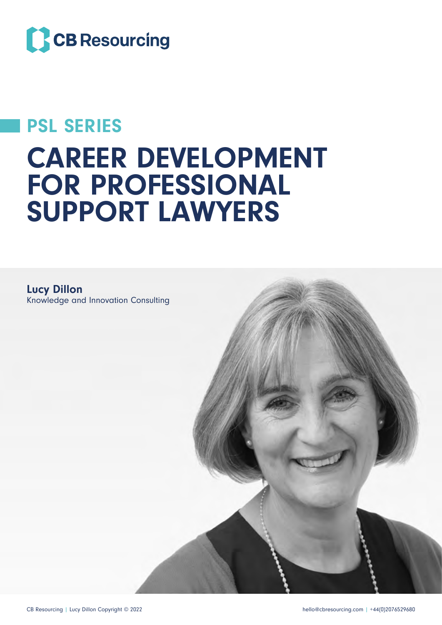

## PSL SERIES

# CAREER DEVELOPMENT FOR PROFESSIONAL SUPPORT LAWYERS

Lucy Dillon Knowledge and Innovation Consulting

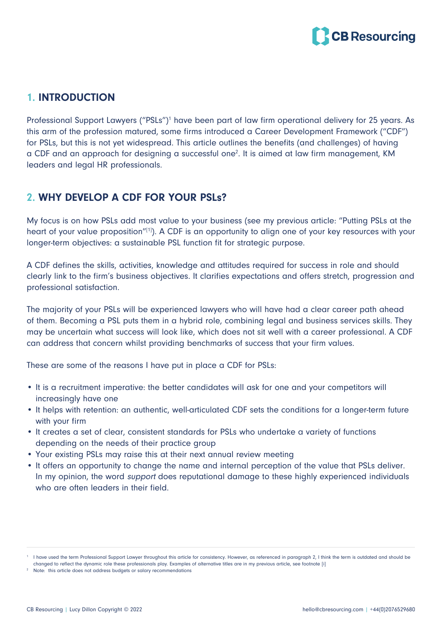

#### 1. INTRODUCTION

Professional Support Lawyers ("PSLs")<sup>1</sup> have been part of law firm operational delivery for 25 years. As this arm of the profession matured, some firms introduced a Career Development Framework ("CDF") for PSLs, but this is not yet widespread. This article outlines the benefits (and challenges) of having a CDF and an approach for designing a successful one<sup>2</sup>. It is aimed at law firm management, KM leaders and legal HR professionals.

### 2. WHY DEVELOP A CDF FOR YOUR PSLs?

My focus is on how PSLs add most value to your business (see my previous article: "Putting PSLs at the heart of your value proposition"[1]). A CDF is an opportunity to align one of your key resources with your longer-term objectives: a sustainable PSL function fit for strategic purpose.

A CDF defines the skills, activities, knowledge and attitudes required for success in role and should clearly link to the firm's business objectives. It clarifies expectations and offers stretch, progression and professional satisfaction.

The majority of your PSLs will be experienced lawyers who will have had a clear career path ahead of them. Becoming a PSL puts them in a hybrid role, combining legal and business services skills. They may be uncertain what success will look like, which does not sit well with a career professional. A CDF can address that concern whilst providing benchmarks of success that your firm values.

These are some of the reasons I have put in place a CDF for PSLs:

- It is a recruitment imperative: the better candidates will ask for one and your competitors will increasingly have one
- It helps with retention: an authentic, well-articulated CDF sets the conditions for a longer-term future with your firm
- It creates a set of clear, consistent standards for PSLs who undertake a variety of functions depending on the needs of their practice group
- Your existing PSLs may raise this at their next annual review meeting
- It offers an opportunity to change the name and internal perception of the value that PSLs deliver. In my opinion, the word support does reputational damage to these highly experienced individuals who are often leaders in their field.

<sup>1</sup> I have used the term Professional Support Lawyer throughout this article for consistency. However, as referenced in paragraph 2, I think the term is outdated and should be changed to reflect the dynamic role these professionals play. Examples of alternative titles are in my previous article, see footnote [i]

<sup>&</sup>lt;sup>2</sup> Note: this article does not address budgets or salary recommendations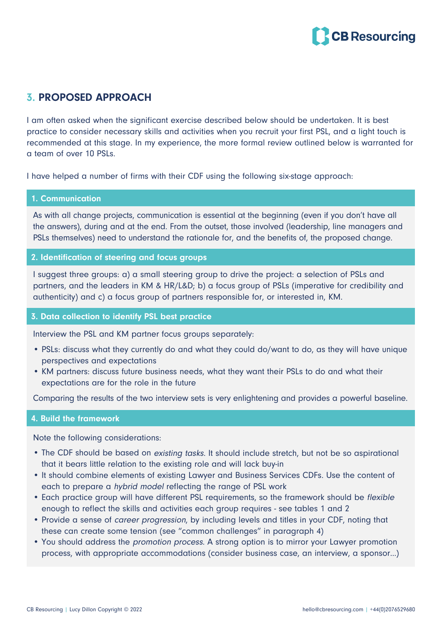

#### 3. PROPOSED APPROACH

I am often asked when the significant exercise described below should be undertaken. It is best practice to consider necessary skills and activities when you recruit your first PSL, and a light touch is recommended at this stage. In my experience, the more formal review outlined below is warranted for a team of over 10 PSLs.

I have helped a number of firms with their CDF using the following six-stage approach:

#### 1. Communication

As with all change projects, communication is essential at the beginning (even if you don't have all the answers), during and at the end. From the outset, those involved (leadership, line managers and PSLs themselves) need to understand the rationale for, and the benefits of, the proposed change.

#### 2. Identification of steering and focus groups

I suggest three groups: a) a small steering group to drive the project: a selection of PSLs and partners, and the leaders in KM & HR/L&D; b) a focus group of PSLs (imperative for credibility and authenticity) and c) a focus group of partners responsible for, or interested in, KM.

#### 3. Data collection to identify PSL best practice

Interview the PSL and KM partner focus groups separately:

- PSLs: discuss what they currently do and what they could do/want to do, as they will have unique perspectives and expectations
- KM partners: discuss future business needs, what they want their PSLs to do and what their expectations are for the role in the future

Comparing the results of the two interview sets is very enlightening and provides a powerful baseline.

#### 4. Build the framework

Note the following considerations:

- The CDF should be based on existing tasks. It should include stretch, but not be so aspirational that it bears little relation to the existing role and will lack buy-in
- It should combine elements of existing Lawyer and Business Services CDFs. Use the content of each to prepare a hybrid model reflecting the range of PSL work
- Each practice group will have different PSL requirements, so the framework should be flexible enough to reflect the skills and activities each group requires - see tables 1 and 2
- Provide a sense of career progression, by including levels and titles in your CDF, noting that these can create some tension (see "common challenges" in paragraph 4)
- You should address the promotion process. A strong option is to mirror your Lawyer promotion process, with appropriate accommodations (consider business case, an interview, a sponsor…)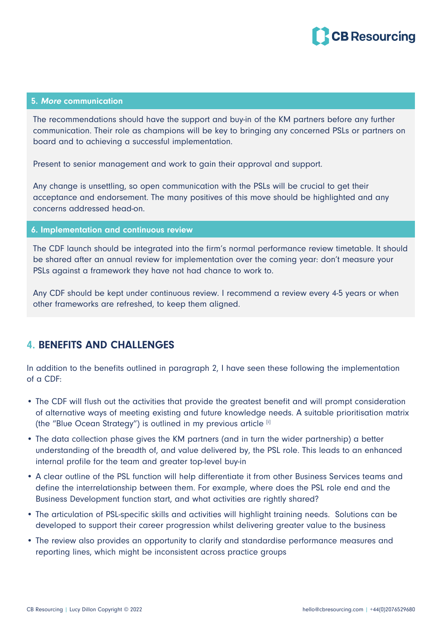

#### 5. More communication

The recommendations should have the support and buy-in of the KM partners before any further communication. Their role as champions will be key to bringing any concerned PSLs or partners on board and to achieving a successful implementation.

Present to senior management and work to gain their approval and support.

Any change is unsettling, so open communication with the PSLs will be crucial to get their acceptance and endorsement. The many positives of this move should be highlighted and any concerns addressed head-on.

#### 6. Implementation and continuous review

The CDF launch should be integrated into the firm's normal performance review timetable. It should be shared after an annual review for implementation over the coming year: don't measure your PSLs against a framework they have not had chance to work to.

Any CDF should be kept under continuous review. I recommend a review every 4-5 years or when other frameworks are refreshed, to keep them aligned.

#### 4. BENEFITS AND CHALLENGES

In addition to the benefits outlined in paragraph 2, I have seen these following the implementation of a CDF:

- The CDF will flush out the activities that provide the greatest benefit and will prompt consideration of alternative ways of meeting existing and future knowledge needs. A suitable prioritisation matrix (the "Blue Ocean Strategy") is outlined in my previous article [i]
- The data collection phase gives the KM partners (and in turn the wider partnership) a better understanding of the breadth of, and value delivered by, the PSL role. This leads to an enhanced internal profile for the team and greater top-level buy-in
- A clear outline of the PSL function will help differentiate it from other Business Services teams and define the interrelationship between them. For example, where does the PSL role end and the Business Development function start, and what activities are rightly shared?
- The articulation of PSL-specific skills and activities will highlight training needs. Solutions can be developed to support their career progression whilst delivering greater value to the business
- The review also provides an opportunity to clarify and standardise performance measures and reporting lines, which might be inconsistent across practice groups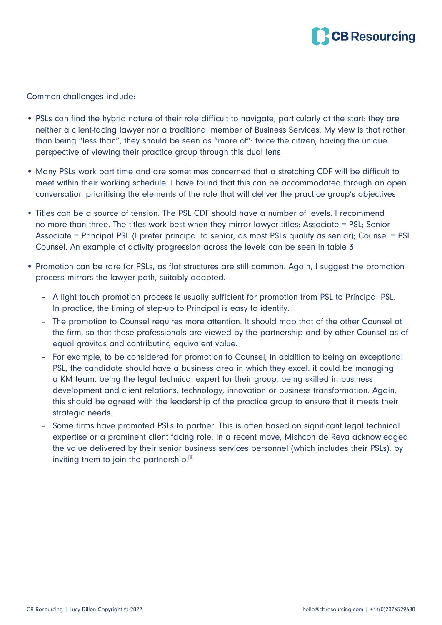

Common challenges include:

- PSLs can find the hybrid nature of their role difficult to navigate, particularly at the start: they are neither a client-facing lawyer nor a traditional member of Business Services. My view is that rather than being "less than", they should be seen as "more of": twice the citizen, having the unique perspective of viewing their practice group through this dual lens
- Many PSLs work part time and are sometimes concerned that a stretching CDF will be difficult to meet within their working schedule. I have found that this can be accommodated through an open conversation prioritising the elements of the role that will deliver the practice group's objectives
- Titles can be a source of tension. The PSL CDF should have a number of levels. I recommend no more than three. The titles work best when they mirror lawyer titles: Associate = PSL; Senior Associate = Principal PSL (I prefer principal to senior, as most PSLs qualify as senior); Counsel = PSL Counsel. An example of activity progression across the levels can be seen in table 3
- Promotion can be rare for PSLs, as flat structures are still common. Again, I suggest the promotion process mirrors the lawyer path, suitably adapted.
	- A light touch promotion process is usually sufficient for promotion from PSL to Principal PSL. In practice, the timing of step-up to Principal is easy to identify.
	- The promotion to Counsel requires more attention. It should map that of the other Counsel at the firm, so that these professionals are viewed by the partnership and by other Counsel as of equal gravitas and contributing equivalent value.
	- For example, to be considered for promotion to Counsel, in addition to being an exceptional PSL, the candidate should have a business area in which they excel: it could be managing a KM team, being the legal technical expert for their group, being skilled in business development and client relations, technology, innovation or business transformation. Again, this should be agreed with the leadership of the practice group to ensure that it meets their strategic needs.
	- Some firms have promoted PSLs to partner. This is often based on significant legal technical expertise or a prominent client facing role. In a recent move, Mishcon de Reya acknowledged the value delivered by their senior business services personnel (which includes their PSLs), by inviting them to join the partnership.<sup>[ii]</sup>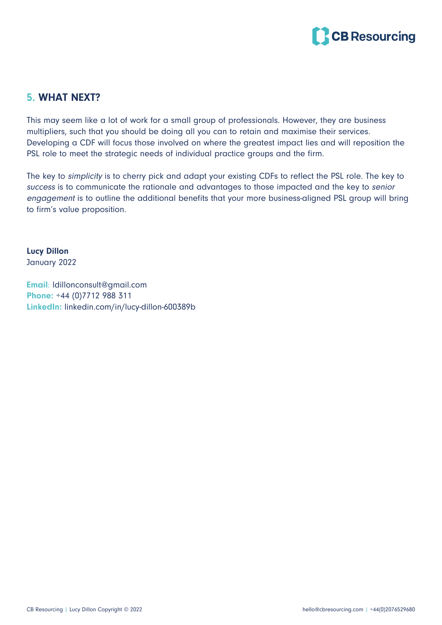

#### 5. WHAT NEXT?

This may seem like a lot of work for a small group of professionals. However, they are business multipliers, such that you should be doing all you can to retain and maximise their services. Developing a CDF will focus those involved on where the greatest impact lies and will reposition the PSL role to meet the strategic needs of individual practice groups and the firm.

The key to simplicity is to cherry pick and adapt your existing CDFs to reflect the PSL role. The key to success is to communicate the rationale and advantages to those impacted and the key to senior engagemen<sup>t</sup> is to outline the additional benefits that your more business-aligned PSL group will bring to firm's value proposition.

Lucy Dillon January 2022

Email: ldillonconsult@gmail.com Phone: +44 (0)7712 988 311 LinkedIn: linkedin.com/in/lucy-dillon-600389b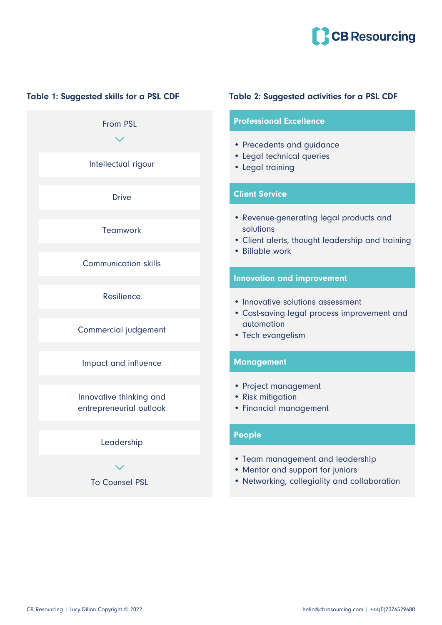

From PSL Impact and influence Leadership Resilience **Teamwork** Commercial judgement Communication skills **Drive** Intellectual rigour Innovative thinking and entrepreneurial outlook

To Counsel PSL

#### Table 1: Suggested skills for a PSL CDF Table 2: Suggested activities for a PSL CDF

#### Professional Excellence

- Precedents and guidance
- Legal technical queries
- Legal training

#### Client Service

- Revenue-generating legal products and solutions
- Client alerts, thought leadership and training
- Billable work

#### Innovation and improvement

- Innovative solutions assessment
- Cost-saving legal process improvement and automation
- Tech evangelism

#### **Management**

- Project management
- Risk mitigation
- Financial management

#### People

- Team management and leadership
- Mentor and support for juniors
- Networking, collegiality and collaboration